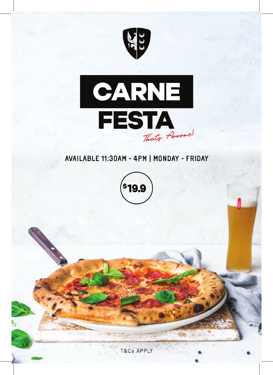



### AVAILABLE 11:30AM - 4PM | MONDAY - FRIDAY



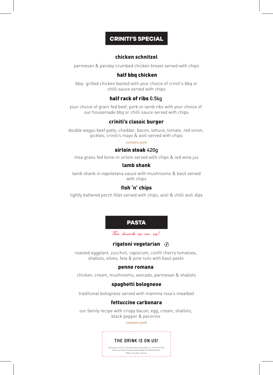#### *CRINITI'S SPECIAL*

#### chicken schnitzel

parmesan & parsley crumbed chicken breast served with chips

#### half bbq chicken

bbq- grilled chicken basted with your choice of criniti's bbq or chilli sauce served with chips

#### half rack of ribs 0.5kg

your choice of grain-fed beef, pork or lamb ribs with your choice of our housemade bbq or chilli sauce served with chips

#### criniti's classic burger

double wagyu beef patty, cheddar, bacon, lettuce, tomato, red onion, pickles, criniti's mayo & aioli served with chips

#### contains pork

#### sirloin steak 420g

msa grass-fed bone-in sirloin served with chips & red wine jus

#### lamb shank

lamb shank in napoletana sauce with mushrooms & basil served with chips

#### fish 'n' chips

lightly battered perch fillet served with chips, aioli & chilli aioli dips



#### rigatoni vegetarian  $\oslash$

roasted eggplant, zucchini, capsicum, confit cherry tomatoes, shallots, olives, feta & pine nuts with basil pesto

#### penne romana

chicken, cream, mushrooms, avocado, parmesan & shallots

#### spaghetti bolognese

traditional bolognese served with mamma rosa's meatball

#### fettuccine carbonara

our family recipe with crispy bacon, egg, cream, shallots, black pepper & pecorino

contains pork

\_\_\_\_\_\_\_\_\_\_\_\_\_\_

#### **THE DRINK IS ON US!**

Enjoy your choice of house wine, house beer or soft drink with every purchase of pasta,pizza,salads & healthy bowls. \*Offer excludes red bull.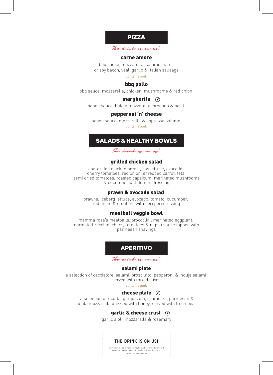

The drink is on us!

#### carne amore

bbq sauce, mozzarella, salame, ham, crispy bacon, veal, garlic & italian sausage

contains pork

#### bbq pollo

bbq sauce, mozzarella, chicken, mushrooms & red onion

#### margherita  $\oslash$

napoli sauce, bufala mozzarella, oregano & basil

#### pepperoni 'n' cheese

napoli sauce, mozzarella & sopressa salame contains pork

#### *SALADS & HEALTHY BOWLS*

The drink is on us!

#### grilled chicken salad

chargrilled chicken breast, cos lettuce, avocado, cherry tomatoes, red onion, shredded carrot, feta, semi dried tomatoes, roasted capsicum, marinated mushrooms & cucumber with lemon dressing

#### prawn & avocado salad

prawns, iceberg lettuce, avocado, tomato, cucumber, red onion & croutons with peri peri dressing

#### meatball veggie bowl

mamma rosa's meatballs, broccolini, marinated eggplant, marinated zucchini cherry tomatoes & napoli sauce topped with parmesan shavings



The drink is on us!

#### salami plate

a selection of cacciatore, salami, prosciutto, pepperoni & 'nduja salami served with mixed olives

contains pork

#### cheese plate  $\oslash$

 a selection of ricotta, gorgonzola, scamorza, parmesan & bufala mozzarella drizzled with honey, served with fresh pear

#### garlic & cheese crust  $\oslash$

garlic aioli, mozzarella & rosemary

#### **THE DRINK IS ON US!**

Enjoy your choice of house wine, house beer or soft drink with every purchase of pasta,pizza,salads & healthy bowls. \*Offer excludes red bull.